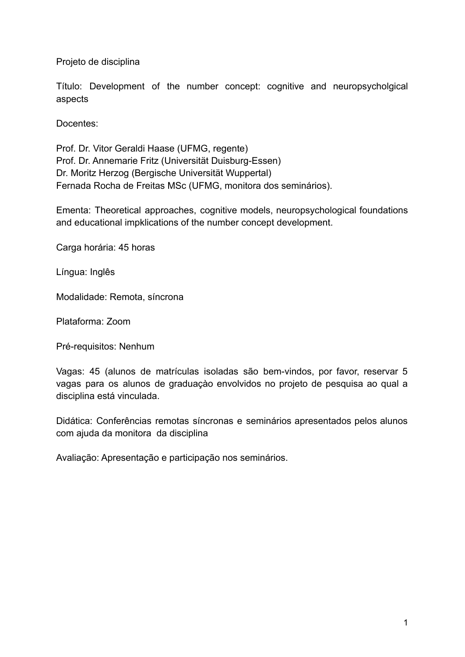Projeto de disciplina

Título: Development of the number concept: cognitive and neuropsycholgical aspects

Docentes:

Prof. Dr. Vitor Geraldi Haase (UFMG, regente) Prof. Dr. Annemarie Fritz (Universität Duisburg-Essen) Dr. Moritz Herzog (Bergische Universität Wuppertal) Fernada Rocha de Freitas MSc (UFMG, monitora dos seminários).

Ementa: Theoretical approaches, cognitive models, neuropsychological foundations and educational impklications of the number concept development.

Carga horária: 45 horas

Língua: Inglês

Modalidade: Remota, síncrona

Plataforma: Zoom

Pré-requisitos: Nenhum

Vagas: 45 (alunos de matrículas isoladas são bem-vindos, por favor, reservar 5 vagas para os alunos de graduaçào envolvidos no projeto de pesquisa ao qual a disciplina está vinculada.

Didática: Conferências remotas síncronas e seminários apresentados pelos alunos com ajuda da monitora da disciplina

Avaliação: Apresentação e participação nos seminários.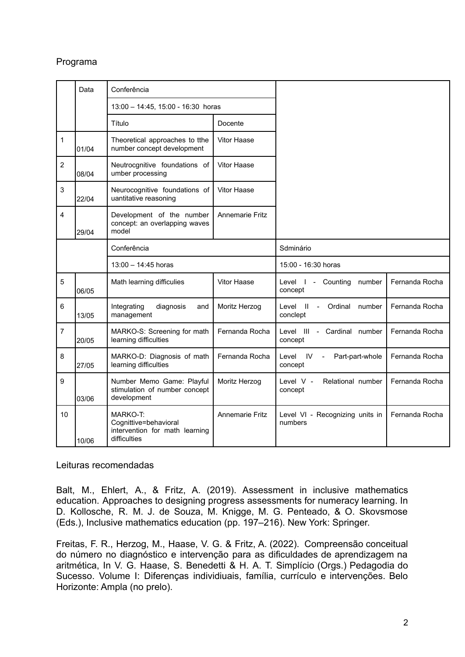## Programa

|                | Data  | Conferência                                                                         |                    |                                                                          |                |
|----------------|-------|-------------------------------------------------------------------------------------|--------------------|--------------------------------------------------------------------------|----------------|
|                |       | 13:00 - 14:45, 15:00 - 16:30 horas                                                  |                    |                                                                          |                |
|                |       | Título                                                                              | Docente            |                                                                          |                |
| 1              | 01/04 | Theoretical approaches to tthe<br>number concept development                        | <b>Vitor Haase</b> |                                                                          |                |
| $\overline{2}$ | 08/04 | Neutrocgnitive foundations of<br>umber processing                                   | Vitor Haase        |                                                                          |                |
| 3              | 22/04 | Neurocognitive foundations of<br>uantitative reasoning                              | <b>Vitor Haase</b> |                                                                          |                |
| $\overline{4}$ | 29/04 | Development of the number<br>concept: an overlapping waves<br>model                 | Annemarie Fritz    |                                                                          |                |
|                |       | Conferência                                                                         |                    | Sdminário                                                                |                |
|                |       | 13:00 - 14:45 horas                                                                 |                    | 15:00 - 16:30 horas                                                      |                |
| 5              | 06/05 | Math learning difficulies                                                           | Vitor Haase        | Level I -<br>Counting<br>number<br>concept                               | Fernanda Rocha |
| 6              | 13/05 | Integrating<br>diagnosis<br>and<br>management                                       | Moritz Herzog      | Level<br>$\mathbf{H}$<br>Ordinal<br>number<br>$\blacksquare$<br>conclept | Fernanda Rocha |
| $\overline{7}$ | 20/05 | MARKO-S: Screening for math<br>learning difficulties                                | Fernanda Rocha     | Level III - Cardinal number<br>concept                                   | Fernanda Rocha |
| 8              | 27/05 | MARKO-D: Diagnosis of math<br>learning difficulties                                 | Fernanda Rocha     | Level<br>- IV<br>Part-part-whole<br>$\blacksquare$<br>concept            | Fernanda Rocha |
| 9              | 03/06 | Number Memo Game: Playful<br>stimulation of number concept<br>development           | Moritz Herzog      | Level V -<br>Relational number<br>concept                                | Fernanda Rocha |
| 10             | 10/06 | MARKO-T:<br>Cognittive=behavioral<br>intervention for math learning<br>difficulties | Annemarie Fritz    | Level VI - Recognizing units in<br>numbers                               | Fernanda Rocha |

Leituras recomendadas

Balt, M., Ehlert, A., & Fritz, A. (2019). Assessment in inclusive mathematics education. Approaches to designing progress assessments for numeracy learning. In D. Kollosche, R. M. J. de Souza, M. Knigge, M. G. Penteado, & O. Skovsmose (Eds.), Inclusive mathematics education (pp. 197–216). New York: Springer.

Freitas, F. R., Herzog, M., Haase, V. G. & Fritz, A. (2022). Compreensão conceitual do número no diagnóstico e intervenção para as dificuldades de aprendizagem na aritmética, In V. G. Haase, S. Benedetti & H. A. T. Simplício (Orgs.) Pedagodia do Sucesso. Volume I: Diferenças individiuais, família, currículo e intervenções. Belo Horizonte: Ampla (no prelo).